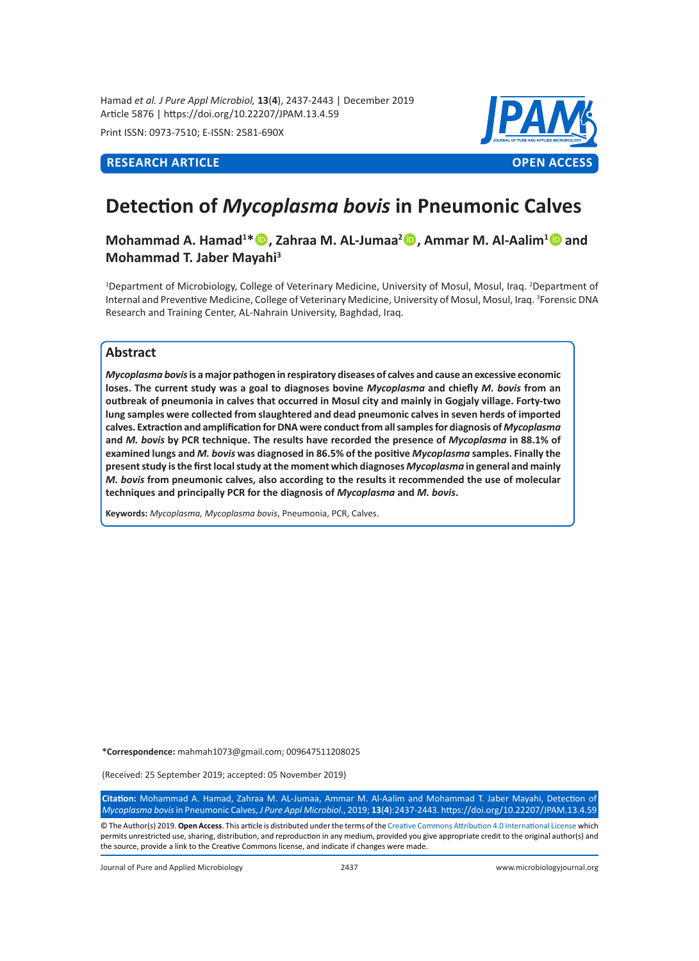Hamad *et al. J Pure Appl Microbiol,* **13**(**4**), 2437-2443 | December 2019 Article 5876 | https://doi.org/10.22207/JPAM.13.4.59

Print ISSN: 0973-7510; E-ISSN: 2581-690X



# **Detection of** *Mycoplasma bovis* **in Pneumonic Calves**

## **Mohammad A. Hamad<sup>1\*</sup> <sup>(D</sup>, Zahraa M. AL-Jumaa<sup>2</sup> <sup>(D</sup>), Ammar M. Al-Aalim<sup>1</sup> © and Mohammad T. Jaber Mayahi3**

<sup>1</sup>Department of Microbiology, College of Veterinary Medicine, University of Mosul, Mosul, Iraq. <sup>2</sup>Department of Internal and Preventive Medicine, College of Veterinary Medicine, University of Mosul, Mosul, Iraq. <sup>3</sup>Forensic DNA Research and Training Center, AL-Nahrain University, Baghdad, Iraq.

### **Abstract**

*Mycoplasma bovis* **is a major pathogen in respiratory diseases of calves and cause an excessive economic loses. The current study was a goal to diagnoses bovine** *Mycoplasma* **and chiefly** *M. bovis* **from an outbreak of pneumonia in calves that occurred in Mosul city and mainly in Gogjaly village. Forty-two lung samples were collected from slaughtered and dead pneumonic calves in seven herds of imported calves. Extraction and amplification for DNA were conduct from all samples for diagnosis of** *Mycoplasma* **and** *M. bovis* **by PCR technique. The results have recorded the presence of** *Mycoplasma* **in 88.1% of examined lungs and** *M. bovis* **was diagnosed in 86.5% of the positive** *Mycoplasma* **samples. Finally the present study is the first local study at the moment which diagnoses** *Mycoplasma* **in general and mainly**  *M. bovis* **from pneumonic calves, also according to the results it recommended the use of molecular techniques and principally PCR for the diagnosis of** *Mycoplasma* **and** *M. bovis***.**

**Keywords:** *Mycoplasma, Mycoplasma bovis*, Pneumonia, PCR, Calves.

**\*Correspondence:** mahmah1073@gmail.com; 009647511208025

(Received: 25 September 2019; accepted: 05 November 2019)

**Citation:** Mohammad A. Hamad, Zahraa M. AL-Jumaa, Ammar M. Al-Aalim and Mohammad T. Jaber Mayahi, Detection of *Mycoplasma bovis* in Pneumonic Calves, *J Pure Appl Microbiol*., 2019; **13**(**4**):2437-2443. https://doi.org/10.22207/JPAM.13.4.59

© The Author(s) 2019. **Open Access**. This article is distributed under the terms of the [Creative Commons Attribution 4.0 International License](https://creativecommons.org/licenses/by/4.0/) which permits unrestricted use, sharing, distribution, and reproduction in any medium, provided you give appropriate credit to the original author(s) and the source, provide a link to the Creative Commons license, and indicate if changes were made.

Journal of Pure and Applied Microbiology 2437 www.microbiologyjournal.org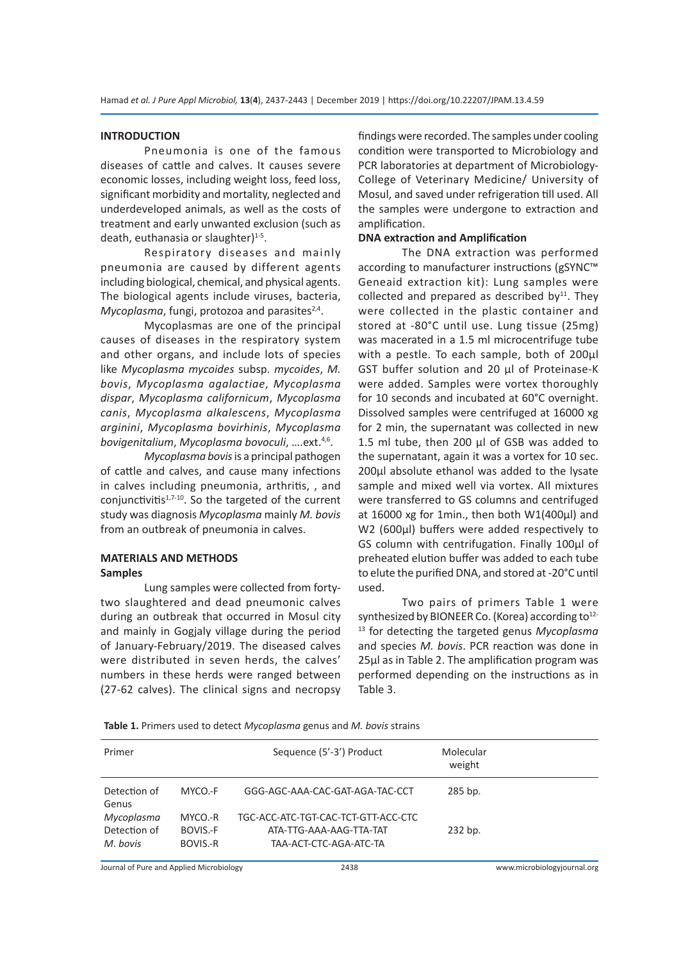#### **INTRODUCTION**

Pneumonia is one of the famous diseases of cattle and calves. It causes severe economic losses, including weight loss, feed loss, significant morbidity and mortality, neglected and underdeveloped animals, as well as the costs of treatment and early unwanted exclusion (such as death, euthanasia or slaughter)<sup>1-5</sup>.

Respiratory diseases and mainly pneumonia are caused by different agents including biological, chemical, and physical agents. The biological agents include viruses, bacteria, *Mycoplasma,* fungi, protozoa and parasites<sup>2,4</sup>.

Mycoplasmas are one of the principal causes of diseases in the respiratory system and other organs, and include lots of species like *Mycoplasma mycoides* subsp. *mycoides*, *M. bovis*, *Mycoplasma agalactiae*, *Mycoplasma dispar*, *Mycoplasma californicum*, *Mycoplasma canis*, *Mycoplasma alkalescens*, *Mycoplasma arginini*, *Mycoplasma bovirhinis*, *Mycoplasma bovigenitalium*, *Mycoplasma bovoculi*, ….ext.4,6.

*Mycoplasma bovis* is a principal pathogen of cattle and calves, and cause many infections in calves including pneumonia, arthritis, , and conjunctivitis $1,7-10$ . So the targeted of the current study was diagnosis *Mycoplasma* mainly *M. bovis* from an outbreak of pneumonia in calves.

#### **MATERIALS AND METHODS Samples**

Lung samples were collected from fortytwo slaughtered and dead pneumonic calves during an outbreak that occurred in Mosul city and mainly in Gogjaly village during the period of January-February/2019. The diseased calves were distributed in seven herds, the calves' numbers in these herds were ranged between (27-62 calves). The clinical signs and necropsy findings were recorded. The samples under cooling condition were transported to Microbiology and PCR laboratories at department of Microbiology-College of Veterinary Medicine/ University of Mosul, and saved under refrigeration till used. All the samples were undergone to extraction and amplification.

#### **DNA extraction and Amplification**

The DNA extraction was performed according to manufacturer instructions (gSYNC™ Geneaid extraction kit): Lung samples were collected and prepared as described by $11$ . They were collected in the plastic container and stored at -80°C until use. Lung tissue (25mg) was macerated in a 1.5 ml microcentrifuge tube with a pestle. To each sample, both of 200µl GST buffer solution and 20 µl of Proteinase-K were added. Samples were vortex thoroughly for 10 seconds and incubated at 60°C overnight. Dissolved samples were centrifuged at 16000 xg for 2 min, the supernatant was collected in new 1.5 ml tube, then 200 µl of GSB was added to the supernatant, again it was a vortex for 10 sec. 200µl absolute ethanol was added to the lysate sample and mixed well via vortex. All mixtures were transferred to GS columns and centrifuged at 16000 xg for 1min., then both W1(400µl) and W2 (600µl) buffers were added respectively to GS column with centrifugation. Finally 100µl of preheated elution buffer was added to each tube to elute the purified DNA, and stored at -20°C until used.

Two pairs of primers Table 1 were synthesized by BIONEER Co. (Korea) according to<sup>12-</sup> <sup>13</sup> for detecting the targeted genus *Mycoplasma*  and species *M. bovis*. PCR reaction was done in 25µl as in Table 2. The amplification program was performed depending on the instructions as in Table 3.

**Table 1.** Primers used to detect *Mycoplasma* genus and *M. bovis* strains

| Primer                |          | Sequence (5'-3') Product            | Molecular<br>weight |  |
|-----------------------|----------|-------------------------------------|---------------------|--|
| Detection of<br>Genus | MYCO.-F  | GGG-AGC-AAA-CAC-GAT-AGA-TAC-CCT     | 285 bp.             |  |
| Mycoplasma            | MYCO.-R  | TGC-ACC-ATC-TGT-CAC-TCT-GTT-ACC-CTC |                     |  |
| Detection of          | BOVIS.-F | ATA-TTG-AAA-AAG-TTA-TAT             | 232 bp.             |  |
| M. bovis              | BOVIS.-R | TAA-ACT-CTC-AGA-ATC-TA              |                     |  |

Journal of Pure and Applied Microbiology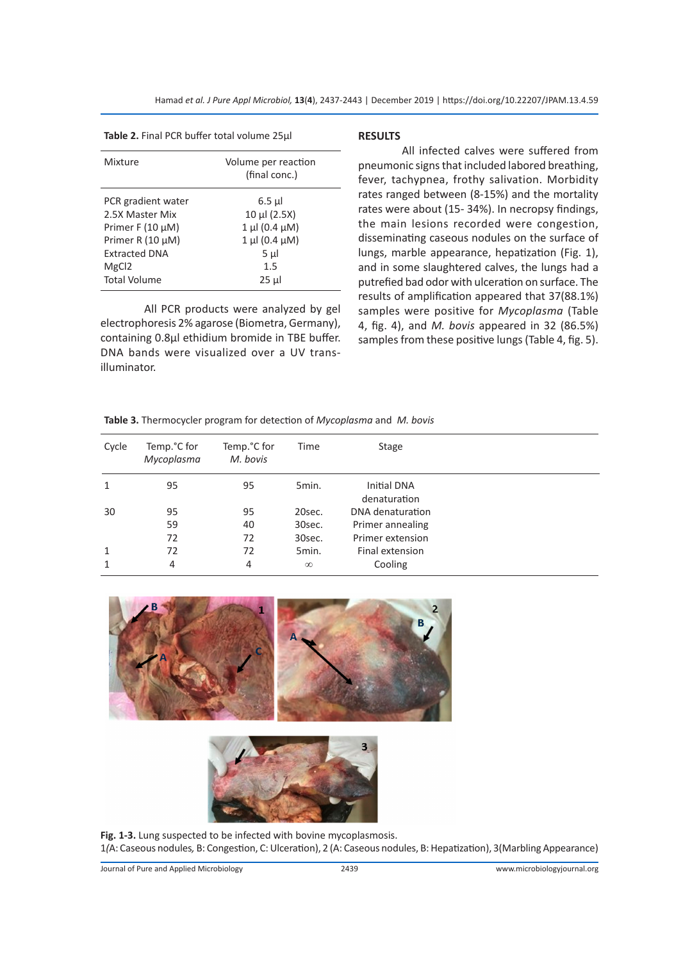**Table 2.** Final PCR buffer total volume 25µl

| Mixture                                                                                                                                                | Volume per reaction<br>(final conc.)                                                                    |
|--------------------------------------------------------------------------------------------------------------------------------------------------------|---------------------------------------------------------------------------------------------------------|
| PCR gradient water<br>2.5X Master Mix<br>Primer F $(10 \mu M)$<br>Primer R (10 µM)<br><b>Extracted DNA</b><br>MgC <sub>12</sub><br><b>Total Volume</b> | 6.5 µl<br>$10 \mu$ I (2.5X)<br>$1 \mu$ I (0.4 $\mu$ M)<br>$1 \mu$ (0.4 $\mu$ M)<br>5 µl<br>1.5<br>25 µl |
|                                                                                                                                                        |                                                                                                         |

All PCR products were analyzed by gel electrophoresis 2% agarose (Biometra, Germany), containing 0.8µl ethidium bromide in TBE buffer. DNA bands were visualized over a UV transilluminator.

#### **RESULTS**

All infected calves were suffered from pneumonic signs that included labored breathing, fever, tachypnea, frothy salivation. Morbidity rates ranged between (8-15%) and the mortality rates were about (15- 34%). In necropsy findings, the main lesions recorded were congestion, disseminating caseous nodules on the surface of lungs, marble appearance, hepatization (Fig. 1), and in some slaughtered calves, the lungs had a putrefied bad odor with ulceration on surface. The results of amplification appeared that 37(88.1%) samples were positive for *Mycoplasma* (Table 4, fig. 4), and *M. bovis* appeared in 32 (86.5%) samples from these positive lungs (Table 4, fig. 5).

**Table 3.** Thermocycler program for detection of *Mycoplasma* and *M. bovis*

| Cycle        | Temp.°C for<br>Mycoplasma | Temp. <sup>o</sup> C for<br>M. bovis | Time     | Stage                              |  |
|--------------|---------------------------|--------------------------------------|----------|------------------------------------|--|
| 1            | 95                        | 95                                   | 5min.    | <b>Initial DNA</b><br>denaturation |  |
| 30           | 95                        | 95                                   | 20sec.   | DNA denaturation                   |  |
|              | 59                        | 40                                   | 30sec.   | Primer annealing                   |  |
|              | 72                        | 72                                   | 30sec.   | Primer extension                   |  |
| $\mathbf{1}$ | 72                        | 72                                   | 5min.    | Final extension                    |  |
| 1            | 4                         | 4                                    | $\infty$ | Cooling                            |  |





**Fig. 1-3.** Lung suspected to be infected with bovine mycoplasmosis. 1*(*A: Caseous nodules*,* B: Congestion, C: Ulceration), 2 (A: Caseous nodules, B: Hepatization), 3(Marbling Appearance)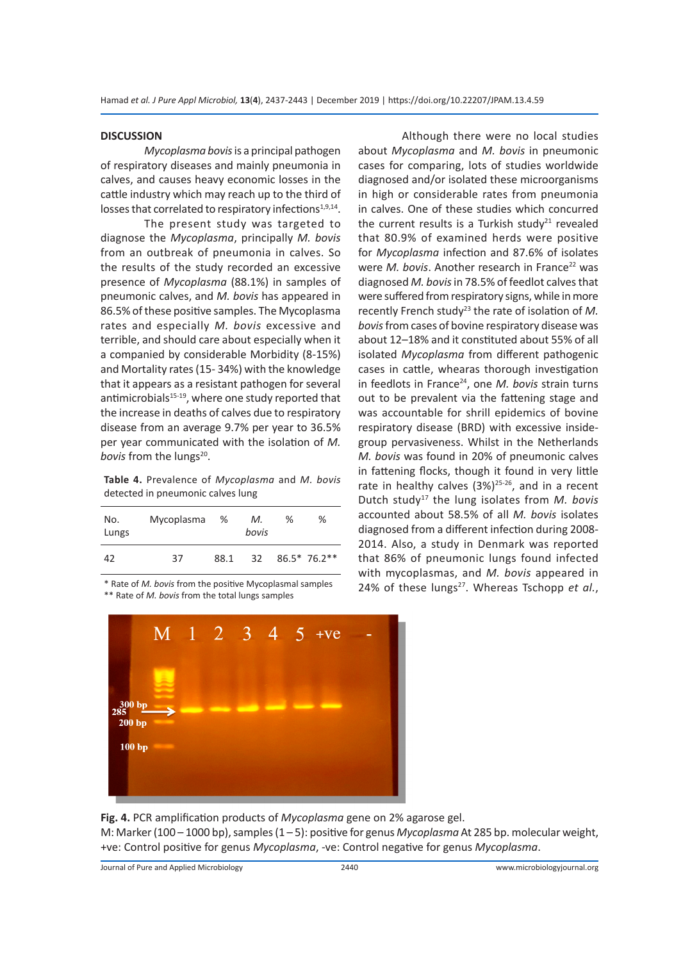#### **DISCUSSION**

*Mycoplasma bovis* is a principal pathogen of respiratory diseases and mainly pneumonia in calves, and causes heavy economic losses in the cattle industry which may reach up to the third of losses that correlated to respiratory infections $1,9,14$ .

The present study was targeted to diagnose the *Mycoplasma*, principally *M. bovis* from an outbreak of pneumonia in calves. So the results of the study recorded an excessive presence of *Mycoplasma* (88.1%) in samples of pneumonic calves, and *M. bovis* has appeared in 86.5% of these positive samples. The Mycoplasma rates and especially *M. bovis* excessive and terrible, and should care about especially when it a companied by considerable Morbidity (8-15%) and Mortality rates (15- 34%) with the knowledge that it appears as a resistant pathogen for several antimicrobials<sup>15-19</sup>, where one study reported that the increase in deaths of calves due to respiratory disease from an average 9.7% per year to 36.5% per year communicated with the isolation of *M. bovis* from the lungs<sup>20</sup>.

**Table 4.** Prevalence of *Mycoplasma* and *M. bovis*  detected in pneumonic calves lung

| No.<br>Lungs | Mycoplasma | %    | М.<br>bovis     | ℅ | %             |
|--------------|------------|------|-----------------|---|---------------|
| 42           | 37         | 88.1 | 32 <sup>2</sup> |   | $86.5*76.2**$ |

\* Rate of *M. bovis* from the positive Mycoplasmal samples \*\* Rate of *M. bovis* from the total lungs samples



Although there were no local studies about *Mycoplasma* and *M. bovis* in pneumonic cases for comparing, lots of studies worldwide diagnosed and/or isolated these microorganisms in high or considerable rates from pneumonia in calves. One of these studies which concurred the current results is a Turkish study<sup>21</sup> revealed that 80.9% of examined herds were positive for *Mycoplasma* infection and 87.6% of isolates were *M. bovis*. Another research in France<sup>22</sup> was diagnosed *M. bovis* in 78.5% of feedlot calves that were suffered from respiratory signs, while in more recently French study<sup>23</sup> the rate of isolation of M. *bovis* from cases of bovine respiratory disease was about 12–18% and it constituted about 55% of all isolated *Mycoplasma* from different pathogenic cases in cattle, whearas thorough investigation in feedlots in France<sup>24</sup>, one *M. bovis* strain turns out to be prevalent via the fattening stage and was accountable for shrill epidemics of bovine respiratory disease (BRD) with excessive insidegroup pervasiveness. Whilst in the Netherlands *M. bovis* was found in 20% of pneumonic calves in fattening flocks, though it found in very little rate in healthy calves  $(3\%)^{25-26}$ , and in a recent Dutch study17 the lung isolates from *M. bovis* accounted about 58.5% of all *M. bovis* isolates diagnosed from a different infection during 2008- 2014. Also, a study in Denmark was reported that 86% of pneumonic lungs found infected with mycoplasmas, and *M. bovis* appeared in 24% of these lungs<sup>27</sup>. Whereas Tschopp et al.,

**Fig. 4.** PCR amplification products of *Mycoplasma* gene on 2% agarose gel.

M: Marker (100 – 1000 bp), samples (1 – 5): positive for genus *Mycoplasma* At 285 bp. molecular weight, +ve: Control positive for genus *Mycoplasma*, -ve: Control negative for genus *Mycoplasma*.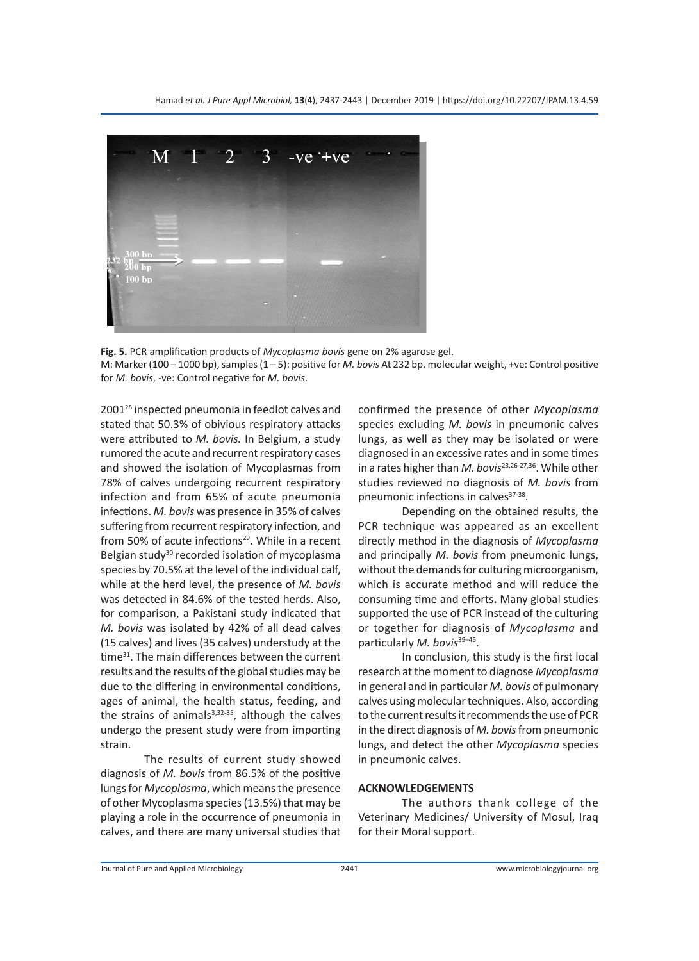

**Fig. 5.** PCR amplification products of *Mycoplasma bovis* gene on 2% agarose gel.

M: Marker (100 – 1000 bp), samples (1 – 5): positive for *M. bovis* At 232 bp. molecular weight, +ve: Control positive for *M. bovis*, -ve: Control negative for *M. bovis*.

200128 inspected pneumonia in feedlot calves and stated that 50.3% of obivious respiratory attacks were attributed to *M. bovis.* In Belgium, a study rumored the acute and recurrent respiratory cases and showed the isolation of Mycoplasmas from 78% of calves undergoing recurrent respiratory infection and from 65% of acute pneumonia infections. *M. bovis* was presence in 35% of calves suffering from recurrent respiratory infection, and from 50% of acute infections<sup>29</sup>. While in a recent Belgian study<sup>30</sup> recorded isolation of mycoplasma species by 70.5% at the level of the individual calf, while at the herd level, the presence of *M. bovis* was detected in 84.6% of the tested herds. Also, for comparison, a Pakistani study indicated that *M. bovis* was isolated by 42% of all dead calves (15 calves) and lives (35 calves) understudy at the time<sup>31</sup>. The main differences between the current results and the results of the global studies may be due to the differing in environmental conditions, ages of animal, the health status, feeding, and the strains of animals $3,32-35$ , although the calves undergo the present study were from importing strain.

The results of current study showed diagnosis of *M. bovis* from 86.5% of the positive lungs for *Mycoplasma*, which means the presence of other Mycoplasma species (13.5%) that may be playing a role in the occurrence of pneumonia in calves, and there are many universal studies that confirmed the presence of other *Mycoplasma* species excluding *M. bovis* in pneumonic calves lungs, as well as they may be isolated or were diagnosed in an excessive rates and in some times in a rates higher than *M. bovis*23,26-27,36. While other studies reviewed no diagnosis of *M. bovis* from pneumonic infections in calves<sup>37-38</sup>.

Depending on the obtained results, the PCR technique was appeared as an excellent directly method in the diagnosis of *Mycoplasma* and principally *M. bovis* from pneumonic lungs, without the demands for culturing microorganism, which is accurate method and will reduce the consuming time and efforts**.** Many global studies supported the use of PCR instead of the culturing or together for diagnosis of *Mycoplasma* and particularly *M. bovis*<sup>39-45</sup>.

In conclusion, this study is the first local research at the moment to diagnose *Mycoplasma* in general and in particular *M. bovis* of pulmonary calves using molecular techniques. Also, according to the current results it recommends the use of PCR in the direct diagnosis of *M. bovis* from pneumonic lungs, and detect the other *Mycoplasma* species in pneumonic calves.

#### **ACKNOWLEDGEMENTS**

The authors thank college of the Veterinary Medicines/ University of Mosul, Iraq for their Moral support.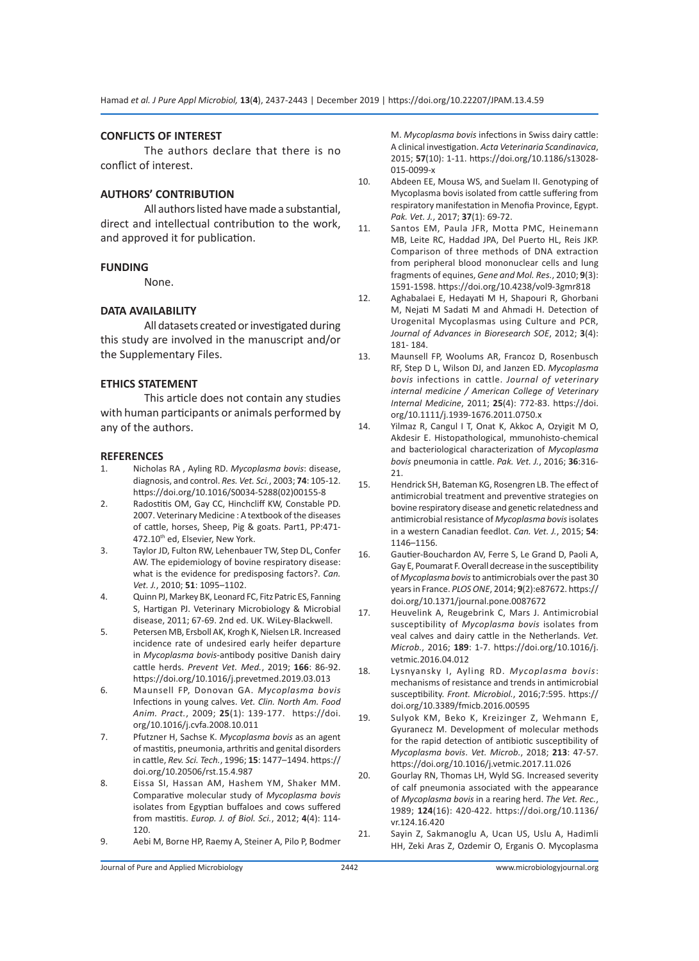#### **CONFLICTS OF INTEREST**

The authors declare that there is no conflict of interest.

#### **AUTHORS' CONTRIBUTION**

All authors listed have made a substantial, direct and intellectual contribution to the work, and approved it for publication.

#### **FUNDING**

None.

#### **DATA AVAILABILITY**

All datasets created or investigated during this study are involved in the manuscript and/or the Supplementary Files.

#### **ETHICS STATEMENT**

This article does not contain any studies with human participants or animals performed by any of the authors.

#### **REFERENCES**

- 1. Nicholas RA , Ayling RD. *Mycoplasma bovis*: disease, diagnosis, and control. *Res. Vet. Sci.*, 2003; **74**: 105-12. https://doi.org/10.1016/S0034-5288(02)00155-8
- 2. Radostitis OM, Gay CC, Hinchcliff KW, Constable PD. 2007. Veterinary Medicine : A textbook of the diseases of cattle, horses, Sheep, Pig & goats. Part1, PP:471- 472.10<sup>th</sup> ed, Elsevier, New York.
- 3. Taylor JD, Fulton RW, Lehenbauer TW, Step DL, Confer AW. The epidemiology of bovine respiratory disease: what is the evidence for predisposing factors?. *Can. Vet. J.*, 2010; **51**: 1095–1102.
- 4. Quinn PJ, Markey BK, Leonard FC, Fitz Patric ES, Fanning S, Hartigan PJ. Veterinary Microbiology & Microbial disease, 2011; 67-69. 2nd ed. UK. WiLey-Blackwell.
- 5. Petersen MB, Ersboll AK, Krogh K, Nielsen LR. Increased incidence rate of undesired early heifer departure in *Mycoplasma bovis*-antibody positive Danish dairy cattle herds. *Prevent Vet. Med.*, 2019; **166**: 86-92. https://doi.org/10.1016/j.prevetmed.2019.03.013
- 6. Maunsell FP, Donovan GA. *Mycoplasma bovis* Infections in young calves. *Vet. Clin. North Am. Food Anim. Pract.*, 2009; **25**(1): 139-177. https://doi. org/10.1016/j.cvfa.2008.10.011
- 7. Pfutzner H, Sachse K. *Mycoplasma bovis* as an agent of mastitis, pneumonia, arthritis and genital disorders in cattle, *Rev. Sci. Tech.*, 1996; **15**: 1477–1494. https:// doi.org/10.20506/rst.15.4.987
- 8. Eissa SI, Hassan AM, Hashem YM, Shaker MM. Comparative molecular study of *Mycoplasma bovis* isolates from Egyptian buffaloes and cows suffered from mastitis. *Europ. J. of Biol. Sci.*, 2012; **4**(4): 114- 120.
- 9. Aebi M, Borne HP, Raemy A, Steiner A, Pilo P, Bodmer

M. *Mycoplasma bovis* infections in Swiss dairy cattle: A clinical investigation. *Acta Veterinaria Scandinavica*, 2015; **57**(10): 1-11. https://doi.org/10.1186/s13028- 015-0099-x

- 10. Abdeen EE, Mousa WS, and Suelam II. Genotyping of Mycoplasma bovis isolated from cattle suffering from respiratory manifestation in Menofia Province, Egypt. *Pak. Vet. J.*, 2017; **37**(1): 69-72.
- 11. Santos EM, Paula JFR, Motta PMC, Heinemann MB, Leite RC, Haddad JPA, Del Puerto HL, Reis JKP. Comparison of three methods of DNA extraction from peripheral blood mononuclear cells and lung fragments of equines, *Gene and Mol. Res.*, 2010; **9**(3): 1591-1598. https://doi.org/10.4238/vol9-3gmr818
- 12. Aghabalaei E, Hedayati M H, Shapouri R, Ghorbani M, Nejati M Sadati M and Ahmadi H. Detection of Urogenital Mycoplasmas using Culture and PCR, *Journal of Advances in Bioresearch SOE*, 2012; **3**(4): 181- 184.
- 13. Maunsell FP, Woolums AR, Francoz D, Rosenbusch RF, Step D L, Wilson DJ, and Janzen ED. *Mycoplasma bovis* infections in cattle. *Journal of veterinary internal medicine / American College of Veterinary Internal Medicine*, 2011; **25**(4): 772-83. https://doi. org/10.1111/j.1939-1676.2011.0750.x
- 14. Yilmaz R, Cangul I T, Onat K, Akkoc A, Ozyigit M O, Akdesir E. Histopathological, mmunohisto-chemical and bacteriological characterization of *Mycoplasma bovis* pneumonia in cattle. *Pak. Vet. J.*, 2016; **36**:316- 21.
- 15. Hendrick SH, Bateman KG, Rosengren LB. The effect of antimicrobial treatment and preventive strategies on bovine respiratory disease and genetic relatedness and antimicrobial resistance of *Mycoplasma bovis* isolates in a western Canadian feedlot. *Can. Vet. J.*, 2015; **54**: 1146–1156.
- 16. Gautier-Bouchardon AV, Ferre S, Le Grand D, Paoli A, Gay E, Poumarat F. Overall decrease in the susceptibility of *Mycoplasma bovis* to antimicrobials over the past 30 years in France. *PLOS ONE*, 2014; **9**(2):e87672. https:// doi.org/10.1371/journal.pone.0087672
- 17. Heuvelink A, Reugebrink C, Mars J. Antimicrobial susceptibility of *Mycoplasma bovis* isolates from veal calves and dairy cattle in the Netherlands. *Vet. Microb.*, 2016; **189**: 1-7. https://doi.org/10.1016/j. vetmic.2016.04.012
- 18. Lysnyansky I, Ayling RD. *Mycoplasma bovis*: mechanisms of resistance and trends in antimicrobial susceptibility. *Front. Microbiol.*, 2016;7:595. https:// doi.org/10.3389/fmicb.2016.00595
- 19. Sulyok KM, Beko K, Kreizinger Z, Wehmann E, Gyuranecz M. Development of molecular methods for the rapid detection of antibiotic susceptibility of *Mycoplasma bovis*. *Vet. Microb.*, 2018; **213**: 47-57. https://doi.org/10.1016/j.vetmic.2017.11.026
- 20. Gourlay RN, Thomas LH, Wyld SG. Increased severity of calf pneumonia associated with the appearance of *Mycoplasma bovis* in a rearing herd. *The Vet. Rec.*, 1989; **124**(16): 420-422. https://doi.org/10.1136/ vr.124.16.420
- 21. Sayin Z, Sakmanoglu A, Ucan US, Uslu A, Hadimli HH, Zeki Aras Z, Ozdemir O, Erganis O. Mycoplasma